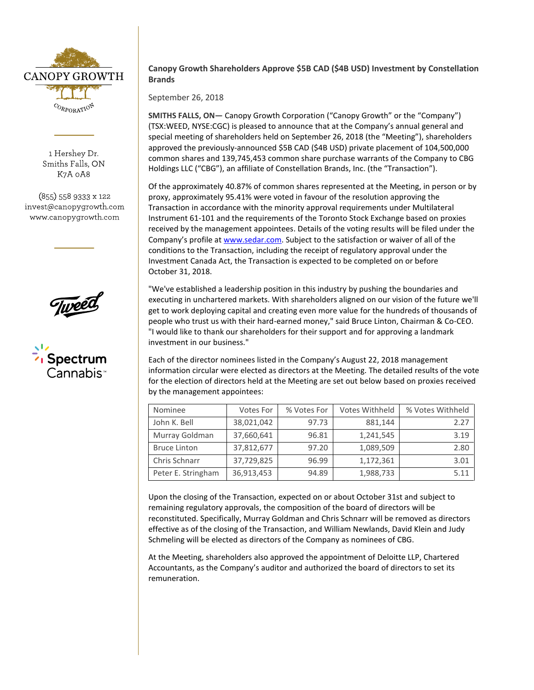

1 Hershey Dr. Smiths Falls, ON K7A 0A8

(855) 558 9333 x 122 invest@canopygrowth.com www.canopygrowth.com





## **Canopy Growth Shareholders Approve \$5B CAD (\$4B USD) Investment by Constellation Brands**

September 26, 2018

**SMITHS FALLS, ON—** Canopy Growth Corporation ("Canopy Growth" or the "Company") (TSX:WEED, NYSE:CGC) is pleased to announce that at the Company's annual general and special meeting of shareholders held on September 26, 2018 (the "Meeting"), shareholders approved the previously-announced \$5B CAD (\$4B USD) private placement of 104,500,000 common shares and 139,745,453 common share purchase warrants of the Company to CBG Holdings LLC ("CBG"), an affiliate of Constellation Brands, Inc. (the "Transaction").

Of the approximately 40.87% of common shares represented at the Meeting, in person or by proxy, approximately 95.41% were voted in favour of the resolution approving the Transaction in accordance with the minority approval requirements under Multilateral Instrument 61-101 and the requirements of the Toronto Stock Exchange based on proxies received by the management appointees. Details of the voting results will be filed under the Company's profile a[t www.sedar.com.](http://www.sedar.com/) Subject to the satisfaction or waiver of all of the conditions to the Transaction, including the receipt of regulatory approval under the Investment Canada Act, the Transaction is expected to be completed on or before October 31, 2018.

"We've established a leadership position in this industry by pushing the boundaries and executing in unchartered markets. With shareholders aligned on our vision of the future we'll get to work deploying capital and creating even more value for the hundreds of thousands of people who trust us with their hard-earned money," said Bruce Linton, Chairman & Co-CEO. "I would like to thank our shareholders for their support and for approving a landmark investment in our business."

Each of the director nominees listed in the Company's August 22, 2018 management information circular were elected as directors at the Meeting. The detailed results of the vote for the election of directors held at the Meeting are set out below based on proxies received by the management appointees:

| Nominee             | Votes For  | % Votes For | Votes Withheld | % Votes Withheld |
|---------------------|------------|-------------|----------------|------------------|
| John K. Bell        | 38,021,042 | 97.73       | 881,144        | 2.27             |
| Murray Goldman      | 37,660,641 | 96.81       | 1,241,545      | 3.19             |
| <b>Bruce Linton</b> | 37,812,677 | 97.20       | 1,089,509      | 2.80             |
| Chris Schnarr       | 37,729,825 | 96.99       | 1,172,361      | 3.01             |
| Peter E. Stringham  | 36,913,453 | 94.89       | 1,988,733      | 5.11             |

Upon the closing of the Transaction, expected on or about October 31st and subject to remaining regulatory approvals, the composition of the board of directors will be reconstituted. Specifically, Murray Goldman and Chris Schnarr will be removed as directors effective as of the closing of the Transaction, and William Newlands, David Klein and Judy Schmeling will be elected as directors of the Company as nominees of CBG.

At the Meeting, shareholders also approved the appointment of Deloitte LLP, Chartered Accountants, as the Company's auditor and authorized the board of directors to set its remuneration.